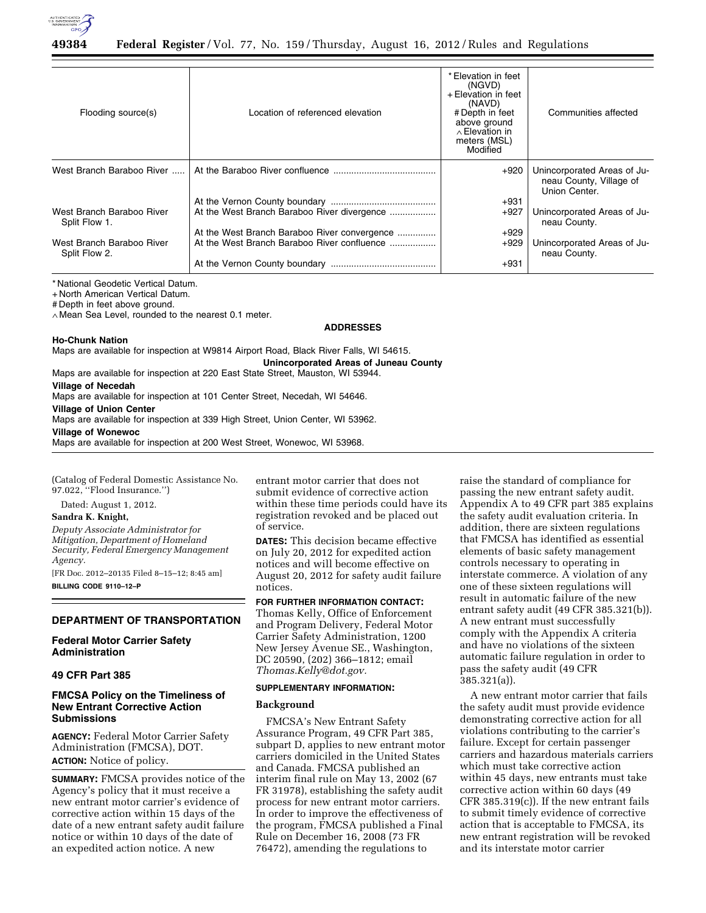

| Flooding source(s)                         | Location of referenced elevation             | * Elevation in feet<br>(NGVD)<br>+ Elevation in feet<br>(NAVD)<br># Depth in feet<br>above ground<br>$\wedge$ Elevation in<br>meters (MSL)<br>Modified | Communities affected                                                    |
|--------------------------------------------|----------------------------------------------|--------------------------------------------------------------------------------------------------------------------------------------------------------|-------------------------------------------------------------------------|
| West Branch Baraboo River                  |                                              | $+920$                                                                                                                                                 | Unincorporated Areas of Ju-<br>neau County, Village of<br>Union Center. |
|                                            |                                              | $+931$                                                                                                                                                 |                                                                         |
| West Branch Baraboo River<br>Split Flow 1. | At the West Branch Baraboo River divergence  | $+927$                                                                                                                                                 | Unincorporated Areas of Ju-<br>neau County.                             |
|                                            | At the West Branch Baraboo River convergence | $+929$                                                                                                                                                 |                                                                         |
| West Branch Baraboo River<br>Split Flow 2. | At the West Branch Baraboo River confluence  | $+929$                                                                                                                                                 | Unincorporated Areas of Ju-<br>neau County.                             |
|                                            |                                              | $+931$                                                                                                                                                 |                                                                         |

\* National Geodetic Vertical Datum.

+ North American Vertical Datum.

# Depth in feet above ground.

∧ Mean Sea Level, rounded to the nearest 0.1 meter.

#### **ADDRESSES**

### **Ho-Chunk Nation**

Maps are available for inspection at W9814 Airport Road, Black River Falls, WI 54615.

**Unincorporated Areas of Juneau County** 

# Maps are available for inspection at 220 East State Street, Mauston, WI 53944. **Village of Necedah**

Maps are available for inspection at 101 Center Street, Necedah, WI 54646.

**Village of Union Center** 

Maps are available for inspection at 339 High Street, Union Center, WI 53962.

## **Village of Wonewoc**

Maps are available for inspection at 200 West Street, Wonewoc, WI 53968.

(Catalog of Federal Domestic Assistance No. 97.022, ''Flood Insurance.'')

Dated: August 1, 2012.

#### **Sandra K. Knight,**

*Deputy Associate Administrator for Mitigation, Department of Homeland Security, Federal Emergency Management Agency.* 

[FR Doc. 2012–20135 Filed 8–15–12; 8:45 am] **BILLING CODE 9110–12–P** 

# **DEPARTMENT OF TRANSPORTATION**

# **Federal Motor Carrier Safety Administration**

#### **49 CFR Part 385**

# **FMCSA Policy on the Timeliness of New Entrant Corrective Action Submissions**

**AGENCY:** Federal Motor Carrier Safety Administration (FMCSA), DOT. **ACTION:** Notice of policy.

**SUMMARY:** FMCSA provides notice of the Agency's policy that it must receive a new entrant motor carrier's evidence of corrective action within 15 days of the date of a new entrant safety audit failure notice or within 10 days of the date of an expedited action notice. A new

entrant motor carrier that does not submit evidence of corrective action within these time periods could have its registration revoked and be placed out of service.

**DATES:** This decision became effective on July 20, 2012 for expedited action notices and will become effective on August 20, 2012 for safety audit failure notices.

# **FOR FURTHER INFORMATION CONTACT:**

Thomas Kelly, Office of Enforcement and Program Delivery, Federal Motor Carrier Safety Administration, 1200 New Jersey Avenue SE., Washington, DC 20590, (202) 366–1812; email *[Thomas.Kelly@dot.gov.](mailto:Thomas.Kelly@dot.gov)* 

#### **SUPPLEMENTARY INFORMATION:**

### **Background**

FMCSA's New Entrant Safety Assurance Program, 49 CFR Part 385, subpart D, applies to new entrant motor carriers domiciled in the United States and Canada. FMCSA published an interim final rule on May 13, 2002 (67 FR 31978), establishing the safety audit process for new entrant motor carriers. In order to improve the effectiveness of the program, FMCSA published a Final Rule on December 16, 2008 (73 FR 76472), amending the regulations to

raise the standard of compliance for passing the new entrant safety audit. Appendix A to 49 CFR part 385 explains the safety audit evaluation criteria. In addition, there are sixteen regulations that FMCSA has identified as essential elements of basic safety management controls necessary to operating in interstate commerce. A violation of any one of these sixteen regulations will result in automatic failure of the new entrant safety audit (49 CFR 385.321(b)). A new entrant must successfully comply with the Appendix A criteria and have no violations of the sixteen automatic failure regulation in order to pass the safety audit (49 CFR 385.321(a)).

A new entrant motor carrier that fails the safety audit must provide evidence demonstrating corrective action for all violations contributing to the carrier's failure. Except for certain passenger carriers and hazardous materials carriers which must take corrective action within 45 days, new entrants must take corrective action within 60 days (49 CFR 385.319(c)). If the new entrant fails to submit timely evidence of corrective action that is acceptable to FMCSA, its new entrant registration will be revoked and its interstate motor carrier